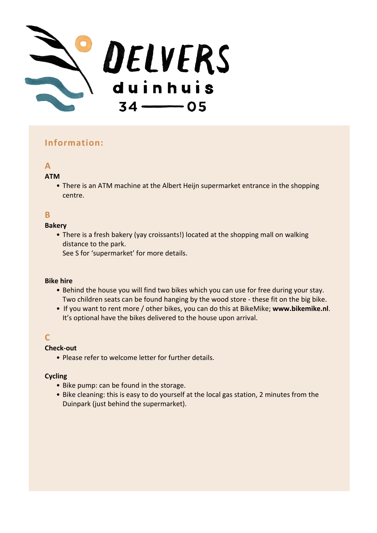

## **Information:**

# **A**

### **ATM**

• There is an ATM machine at the Albert Heijn supermarket entrance in the shopping centre.

## **B**

#### **Bakery**

• There is a fresh bakery (yay croissants!) located at the shopping mall on walking distance to the park.

See S for 'supermarket' for more details.

#### **Bike hire**

- Behind the house you will find two bikes which you can use for free during your stay. Two children seats can be found hanging by the wood store - these fit on the big bike.
- If you want to rent more / other bikes, you can do this at BikeMike; **www.bikemike.nl**. It's optional have the bikes delivered to the house upon arrival.

## **C**

### **Check-out**

• Please refer to welcome letter for further details.

### **Cycling**

- Bike pump: can be found in the storage.
- Bike cleaning: this is easy to do yourself at the local gas station, 2 minutes from the Duinpark (just behind the supermarket).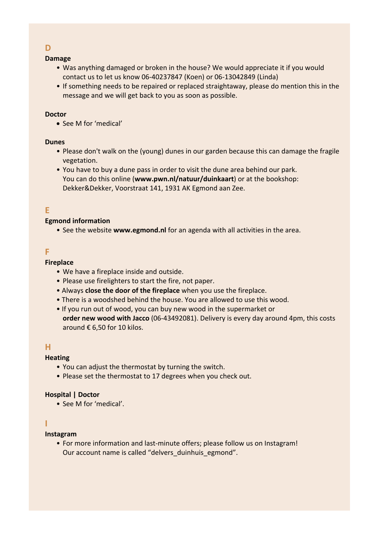## **D**

#### **Damage**

- Was anything damaged or broken in the house? We would appreciate it if you would contact us to let us know 06-40237847 (Koen) or 06-13042849 (Linda)
- If something needs to be repaired or replaced straightaway, please do mention this in the message and we will get back to you as soon as possible.

#### **Doctor**

• See M for 'medical'

### **Dunes**

- Please don't walk on the (young) dunes in our garden because this can damage the fragile vegetation.
- You have to buy a dune pass in order to visit the dune area behind our park. You can do this online (**www.pwn.nl/natuur/duinkaart**) or at the bookshop: Dekker&Dekker, Voorstraat 141, 1931 AK Egmond aan Zee.

## **E**

### **Egmond information**

• See the website **www.egmond.nl** for an agenda with all activities in the area.

### **F**

#### **Fireplace**

- We have a fireplace inside and outside.
- Please use firelighters to start the fire, not paper.
- Always **close the door of the fireplace** when you use the fireplace.
- There is a woodshed behind the house. You are allowed to use this wood.
- If you run out of wood, you can buy new wood in the supermarket or **order new wood with Jacco** (06-43492081). Delivery is every day around 4pm, this costs around € 6,50 for 10 kilos.

### **H**

### **Heating**

- You can adjust the thermostat by turning the switch.
- Please set the thermostat to 17 degrees when you check out.

### **Hospital | Doctor**

• See M for 'medical'.

## **I**

### **Instagram**

• For more information and last-minute offers; please follow us on Instagram! Our account name is called "delvers duinhuis egmond".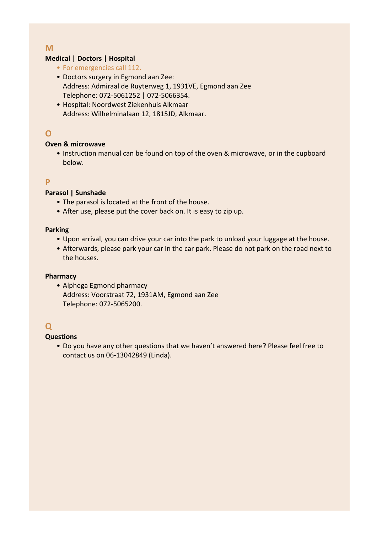## **M**

### **Medical | Doctors | Hospital**

- For emergencies call 112.
- Doctors surgery in Egmond aan Zee: Address: Admiraal de Ruyterweg 1, 1931VE, Egmond aan Zee Telephone: 072-5061252 | 072-5066354.
- Hospital: Noordwest Ziekenhuis Alkmaar Address: Wilhelminalaan 12, 1815JD, Alkmaar.

## **O**

### **Oven & microwave**

• Instruction manual can be found on top of the oven & microwave, or in the cupboard below.

## **P**

### **Parasol | Sunshade**

- The parasol is located at the front of the house.
- After use, please put the cover back on. It is easy to zip up.

### **Parking**

- Upon arrival, you can drive your car into the park to unload your luggage at the house.
- Afterwards, please park your car in the car park. Please do not park on the road next to the houses.

### **Pharmacy**

• Alphega Egmond pharmacy Address: Voorstraat 72, 1931AM, Egmond aan Zee Telephone: 072-5065200.

## **Q**

### **Questions**

• Do you have any other questions that we haven't answered here? Please feel free to contact us on 06-13042849 (Linda).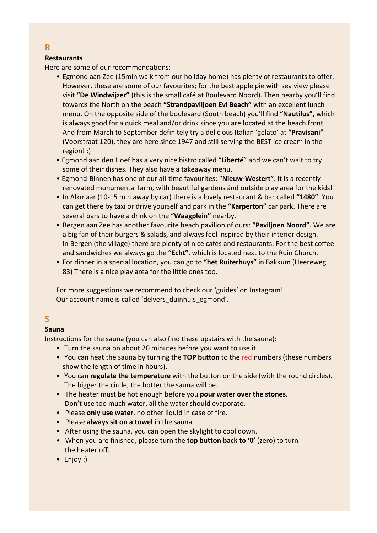## **Restaurants**

Here are some of our recommendations:

- Egmond aan Zee (15min walk from our holiday home) has plenty of restaurants to offer. However, these are some of our favourites; for the best apple pie with sea view please visit **"De Windwijzer"** (this is the small café at Boulevard Noord). Then nearby you'll find towards the North on the beach **"Strandpaviljoen Evi Beach"** with an excellent lunch menu. On the opposite side of the boulevard (South beach) you'll find **"Nautilus",** which is always good for a quick meal and/or drink since you are located at the beach front. And from March to September definitely try a delicious Italian 'gelato' at **"Pravisani"** (Voorstraat 120), they are here since 1947 and still serving the BEST ice cream in the region! :)
- Egmond aan den Hoef has a very nice bistro called "**Liberté**" and we can't wait to try some of their dishes. They also have a takeaway menu.
- Egmond-Binnen has one of our all-time favourites: "**Nieuw-Westert"**. It is a recently renovated monumental farm, with beautiful gardens ánd outside play area for the kids!
- In Alkmaar (10-15 min away by car) there is a lovely restaurant & bar called **"1480"**. You can get there by taxi or drive yourself and park in the **"Karperton"** car park. There are several bars to have a drink on the **"Waagplein"** nearby.
- Bergen aan Zee has another favourite beach pavilion of ours: **"Paviljoen Noord"**. We are a big fan of their burgers & salads, and always feel inspired by their interior design. In Bergen (the village) there are plenty of nice cafés and restaurants. For the best coffee and sandwiches we always go the **"Echt"**, which is located next to the Ruin Church.
- For dinner in a special location, you can go to **"het Ruiterhuys"** in Bakkum (Heereweg 83) There is a nice play area for the little ones too.

For more suggestions we recommend to check our 'guides' on Instagram! Our account name is called 'delvers\_duinhuis\_egmond'.

## **S**

## **Sauna**

Instructions for the sauna (you can also find these upstairs with the sauna):

- Turn the sauna on about 20 minutes before you want to use it.
- You can heat the sauna by turning the **TOP button** to the red numbers (these numbers show the length of time in hours).
- You can **regulate the temperature** with the button on the side (with the round circles). The bigger the circle, the hotter the sauna will be.
- The heater must be hot enough before you **pour water over the stones**. Don't use too much water, all the water should evaporate.
- Please **only use water**, no other liquid in case of fire.
- Please **always sit on a towel** in the sauna.
- After using the sauna, you can open the skylight to cool down.
- When you are finished, please turn the **top button back to '0'** (zero) to turn the heater off.
- Enjoy :)

**R**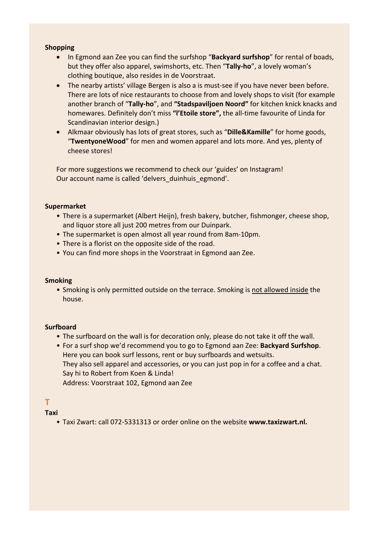#### **Shopping**

- In Egmond aan Zee you can find the surfshop "**Backyard surfshop**" for rental of boads, but they offer also apparel, swimshorts, etc. Then "**Tally-ho**", a lovely woman's clothing boutique, also resides in de Voorstraat.
- The nearby artists' village Bergen is also a is must-see if you have never been before. There are lots of nice restaurants to choose from and lovely shops to visit (for example another branch of "**Tally-ho**", and **"Stadspaviljoen Noord"** for kitchen knick knacks and homewares. Definitely don't miss **"l'Etoile store",** the all-time favourite of Linda for Scandinavian interior design.)
- Alkmaar obviously has lots of great stores, such as "**Dille&Kamille**" for home goods, "**TwentyoneWood**" for men and women apparel and lots more. And yes, plenty of cheese stores!

For more suggestions we recommend to check our 'guides' on Instagram! Our account name is called 'delvers duinhuis egmond'.

#### **Supermarket**

- There is a supermarket (Albert Heijn), fresh bakery, butcher, fishmonger, cheese shop, and liquor store all just 200 metres from our Duinpark.
- The supermarket is open almost all year round from 8am-10pm.
- There is a florist on the opposite side of the road.
- You can find more shops in the Voorstraat in Egmond aan Zee.

#### **Smoking**

• Smoking is only permitted outside on the terrace. Smoking is not allowed inside the house.

#### **Surfboard**

- The surfboard on the wall is for decoration only, please do not take it off the wall.
- For a surf shop we'd recommend you to go to Egmond aan Zee: **Backyard Surfshop**. Here you can book surf lessons, rent or buy surfboards and wetsuits. They also sell apparel and accessories, or you can just pop in for a coffee and a chat. Say hi to Robert from Koen & Linda! Address: Voorstraat 102, Egmond aan Zee

## **T**

### **Taxi**

• Taxi Zwart: call 072-5331313 or order online on the website **www.taxizwart.nl.**